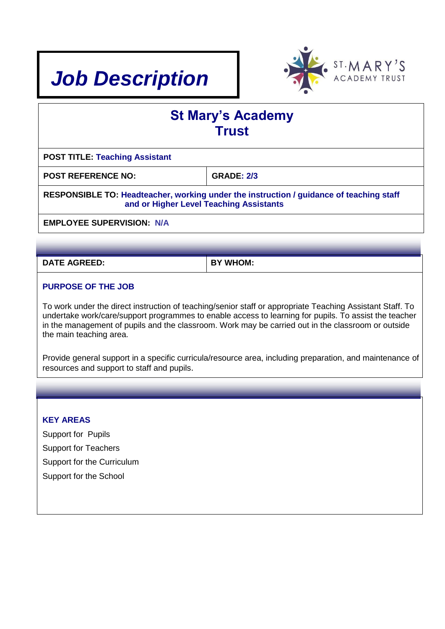



| <b>St Mary's Academy</b><br><b>Trust</b>                                                                                           |                   |  |  |  |
|------------------------------------------------------------------------------------------------------------------------------------|-------------------|--|--|--|
| <b>POST TITLE: Teaching Assistant</b>                                                                                              |                   |  |  |  |
| <b>POST REFERENCE NO:</b>                                                                                                          | <b>GRADE: 2/3</b> |  |  |  |
| RESPONSIBLE TO: Headteacher, working under the instruction / guidance of teaching staff<br>and or Higher Level Teaching Assistants |                   |  |  |  |
| <b>EMPLOYEE SUPERVISION: N/A</b>                                                                                                   |                   |  |  |  |
|                                                                                                                                    |                   |  |  |  |

**DATE AGREED: BY WHOM:** 

## **PURPOSE OF THE JOB**

To work under the direct instruction of teaching/senior staff or appropriate Teaching Assistant Staff. To undertake work/care/support programmes to enable access to learning for pupils. To assist the teacher in the management of pupils and the classroom. Work may be carried out in the classroom or outside the main teaching area.

Provide general support in a specific curricula/resource area, including preparation, and maintenance of resources and support to staff and pupils.

#### **KEY AREAS**

Support for Pupils Support for Teachers Support for the Curriculum Support for the School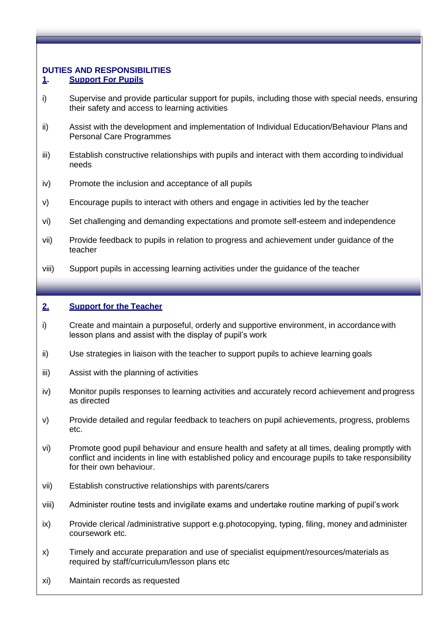# **DUTIES AND RESPONSIBILITIES**

# **1. Support For Pupils**

- i) Supervise and provide particular support for pupils, including those with special needs, ensuring their safety and access to learning activities
- ii) Assist with the development and implementation of Individual Education/Behaviour Plans and Personal Care Programmes
- iii) Establish constructive relationships with pupils and interact with them according to individual needs
- iv) Promote the inclusion and acceptance of all pupils
- v) Encourage pupils to interact with others and engage in activities led by the teacher
- vi) Set challenging and demanding expectations and promote self-esteem and independence
- vii) Provide feedback to pupils in relation to progress and achievement under guidance of the teacher
- viii) Support pupils in accessing learning activities under the guidance of the teacher

# **2. Support for the Teacher**

- i) Create and maintain a purposeful, orderly and supportive environment, in accordance with lesson plans and assist with the display of pupil's work
- ii) Use strategies in liaison with the teacher to support pupils to achieve learning goals
- iii) Assist with the planning of activities
- iv) Monitor pupils responses to learning activities and accurately record achievement and progress as directed
- v) Provide detailed and regular feedback to teachers on pupil achievements, progress, problems etc.
- vi) Promote good pupil behaviour and ensure health and safety at all times, dealing promptly with conflict and incidents in line with established policy and encourage pupils to take responsibility for their own behaviour.
- vii) Establish constructive relationships with parents/carers
- viii) Administer routine tests and invigilate exams and undertake routine marking of pupil's work
- ix) Provide clerical /administrative support e.g.photocopying, typing, filing, money and administer coursework etc.
- x) Timely and accurate preparation and use of specialist equipment/resources/materials as required by staff/curriculum/lesson plans etc
- xi) Maintain records as requested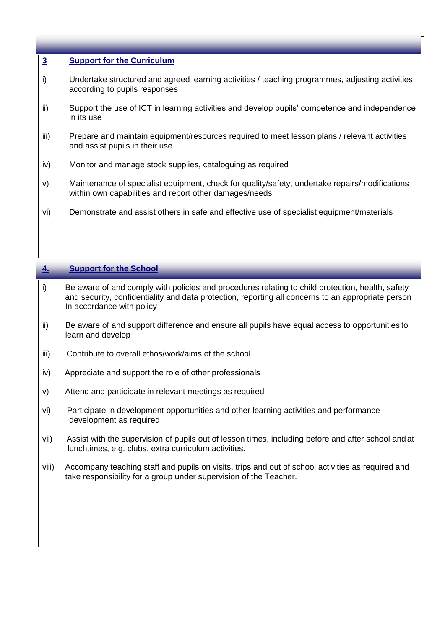#### **3 Support for the Curriculum**

- i) Undertake structured and agreed learning activities / teaching programmes, adjusting activities according to pupils responses
- ii) Support the use of ICT in learning activities and develop pupils' competence and independence in its use
- iii) Prepare and maintain equipment/resources required to meet lesson plans / relevant activities and assist pupils in their use
- iv) Monitor and manage stock supplies, cataloguing as required
- v) Maintenance of specialist equipment, check for quality/safety, undertake repairs/modifications within own capabilities and report other damages/needs
- vi) Demonstrate and assist others in safe and effective use of specialist equipment/materials

#### **4. Support for the School**

- i) Be aware of and comply with policies and procedures relating to child protection, health, safety and security, confidentiality and data protection, reporting all concerns to an appropriate person In accordance with policy
- ii) Be aware of and support difference and ensure all pupils have equal access to opportunities to learn and develop
- iii) Contribute to overall ethos/work/aims of the school.
- iv) Appreciate and support the role of other professionals
- v) Attend and participate in relevant meetings as required
- vi) Participate in development opportunities and other learning activities and performance development as required
- vii) Assist with the supervision of pupils out of lesson times, including before and after school and at lunchtimes, e.g. clubs, extra curriculum activities.
- viii) Accompany teaching staff and pupils on visits, trips and out of school activities as required and take responsibility for a group under supervision of the Teacher.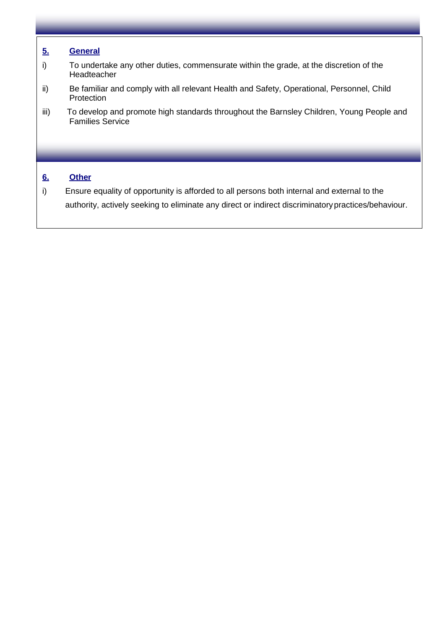## **5. General**

- i) To undertake any other duties, commensurate within the grade, at the discretion of the Headteacher
- ii) Be familiar and comply with all relevant Health and Safety, Operational, Personnel, Child Protection
- iii) To develop and promote high standards throughout the Barnsley Children, Young People and Families Service

## **6. Other**

i) Ensure equality of opportunity is afforded to all persons both internal and external to the authority, actively seeking to eliminate any direct or indirect discriminatorypractices/behaviour.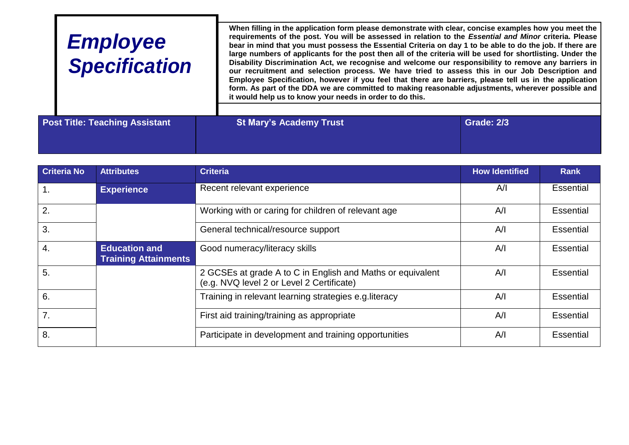| <b>Employee</b><br><b>Specification</b> | it would help us to know your needs in order to do this. | When filling in the application form please demonstrate with clear, concise examples how you meet the<br>requirements of the post. You will be assessed in relation to the Essential and Minor criteria. Please<br>bear in mind that you must possess the Essential Criteria on day 1 to be able to do the job. If there are<br>large numbers of applicants for the post then all of the criteria will be used for shortlisting. Under the<br>Disability Discrimination Act, we recognise and welcome our responsibility to remove any barriers in<br>our recruitment and selection process. We have tried to assess this in our Job Description and<br>Employee Specification, however if you feel that there are barriers, please tell us in the application<br>form. As part of the DDA we are committed to making reasonable adjustments, wherever possible and |
|-----------------------------------------|----------------------------------------------------------|---------------------------------------------------------------------------------------------------------------------------------------------------------------------------------------------------------------------------------------------------------------------------------------------------------------------------------------------------------------------------------------------------------------------------------------------------------------------------------------------------------------------------------------------------------------------------------------------------------------------------------------------------------------------------------------------------------------------------------------------------------------------------------------------------------------------------------------------------------------------|
| <b>Post Title: Teaching Assistant</b>   | <b>St Mary's Academy Trust</b>                           | <b>Grade: 2/3</b>                                                                                                                                                                                                                                                                                                                                                                                                                                                                                                                                                                                                                                                                                                                                                                                                                                                   |

| <b>Criteria No</b> | <b>Attributes</b>                                   | <b>Criteria</b>                                                                                         | <b>How Identified</b> | <b>Rank</b>      |
|--------------------|-----------------------------------------------------|---------------------------------------------------------------------------------------------------------|-----------------------|------------------|
| $\overline{1}$ .   | <b>Experience</b>                                   | Recent relevant experience                                                                              | A/I                   | <b>Essential</b> |
| $\overline{2}$ .   |                                                     | Working with or caring for children of relevant age                                                     | A/I                   | Essential        |
| 3.                 |                                                     | General technical/resource support                                                                      | A/I                   | Essential        |
| 4.                 | <b>Education and</b><br><b>Training Attainments</b> | Good numeracy/literacy skills                                                                           | A/I                   | Essential        |
| 5.                 |                                                     | 2 GCSEs at grade A to C in English and Maths or equivalent<br>(e.g. NVQ level 2 or Level 2 Certificate) | A/I                   | Essential        |
| 6.                 |                                                     | Training in relevant learning strategies e.g. literacy                                                  | A/I                   | Essential        |
| 7.                 |                                                     | First aid training/training as appropriate                                                              | A/I                   | Essential        |
| 8.                 |                                                     | Participate in development and training opportunities                                                   | A/I                   | <b>Essential</b> |